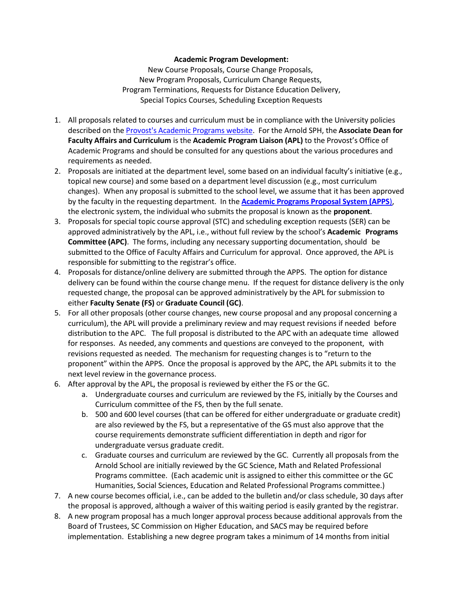## **Academic Program Development:**

New Course Proposals, Course Change Proposals, New Program Proposals, Curriculum Change Requests, Program Terminations, Requests for Distance Education Delivery, Special Topics Courses, Scheduling Exception Requests

- 1. All proposals related to courses and curriculum must be in compliance with the University policies described on th[e Provost's](http://www.sc.edu/provost/acadprog/) Academic Programs website. For the Arnold SPH, the **Associate Dean for Faculty Affairs and Curriculum** is the **Academic Program Liaison (APL)** to the Provost's Office of Academic Programs and should be consulted for any questions about the various procedures and requirements as needed.
- 2. Proposals are initiated at the department level, some based on an individual faculty's initiative (e.g., topical new course) and some based on a department level discussion (e.g., most curriculum changes). When any proposal is submitted to the school level, we assume that it has been approved by the faculty in the requesting department. In the **[Academic](http://www.sc.edu/programproposal/) Programs Proposal System (APPS**), the electronic system, the individual who submits the proposal is known as the **proponent**.
- 3. Proposals for special topic course approval (STC) and scheduling exception requests (SER) can be approved administratively by the APL, i.e., without full review by the school's **Academic Programs Committee (APC)**. The forms, including any necessary supporting documentation, should be submitted to the Office of Faculty Affairs and Curriculum for approval. Once approved, the APL is responsible for submitting to the registrar's office.
- 4. Proposals for distance/online delivery are submitted through the APPS. The option for distance delivery can be found within the course change menu. If the request for distance delivery is the only requested change, the proposal can be approved administratively by the APL for submission to either **Faculty Senate (FS)** or **Graduate Council (GC)**.
- 5. For all other proposals (other course changes, new course proposal and any proposal concerning a curriculum), the APL will provide a preliminary review and may request revisions if needed before distribution to the APC. The full proposal is distributed to the APC with an adequate time allowed for responses. As needed, any comments and questions are conveyed to the proponent, with revisions requested as needed. The mechanism for requesting changes is to "return to the proponent" within the APPS. Once the proposal is approved by the APC, the APL submits it to the next level review in the governance process.
- 6. After approval by the APL, the proposal is reviewed by either the FS or the GC.
	- a. Undergraduate courses and curriculum are reviewed by the FS, initially by the Courses and Curriculum committee of the FS, then by the full senate.
	- b. 500 and 600 level courses (that can be offered for either undergraduate or graduate credit) are also reviewed by the FS, but a representative of the GS must also approve that the course requirements demonstrate sufficient differentiation in depth and rigor for undergraduate versus graduate credit.
	- c. Graduate courses and curriculum are reviewed by the GC. Currently all proposals from the Arnold School are initially reviewed by the GC Science, Math and Related Professional Programs committee. (Each academic unit is assigned to either this committee or the GC Humanities, Social Sciences, Education and Related Professional Programs committee.)
- 7. A new course becomes official, i.e., can be added to the bulletin and/or class schedule, 30 days after the proposal is approved, although a waiver of this waiting period is easily granted by the registrar.
- 8. A new program proposal has a much longer approval process because additional approvals from the Board of Trustees, SC Commission on Higher Education, and SACS may be required before implementation. Establishing a new degree program takes a minimum of 14 months from initial